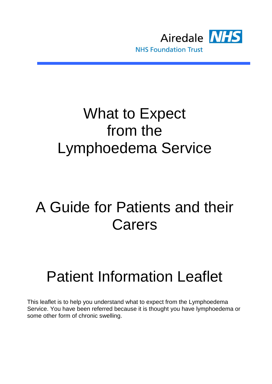

### What to Expect from the Lymphoedema Service

## A Guide for Patients and their Carers

# Patient Information Leaflet

This leaflet is to help you understand what to expect from the Lymphoedema Service. You have been referred because it is thought you have lymphoedema or some other form of chronic swelling.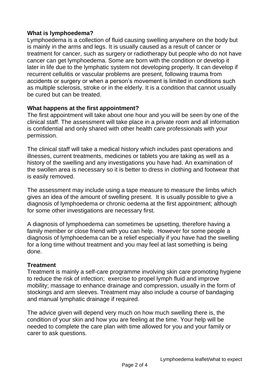#### **What is lymphoedema?**

Lymphoedema is a collection of fluid causing swelling anywhere on the body but is mainly in the arms and legs. It is usually caused as a result of cancer or treatment for cancer, such as surgery or radiotherapy but people who do not have cancer can get lymphoedema. Some are born with the condition or develop it later in life due to the lymphatic system not developing properly. It can develop if recurrent cellulitis or vascular problems are present, following trauma from accidents or surgery or when a person's movement is limited in conditions such as multiple sclerosis, stroke or in the elderly. It is a condition that cannot usually be cured but can be treated.

#### **What happens at the first appointment?**

The first appointment will take about one hour and you will be seen by one of the clinical staff. The assessment will take place in a private room and all information is confidential and only shared with other health care professionals with your permission.

The clinical staff will take a medical history which includes past operations and illnesses, current treatments, medicines or tablets you are taking as well as a history of the swelling and any investigations you have had. An examination of the swollen area is necessary so it is better to dress in clothing and footwear that is easily removed.

The assessment may include using a tape measure to measure the limbs which gives an idea of the amount of swelling present. It is usually possible to give a diagnosis of lymphoedema or chronic oedema at the first appointment; although for some other investigations are necessary first.

A diagnosis of lymphoedema can sometimes be upsetting, therefore having a family member or close friend with you can help. However for some people a diagnosis of lymphoedema can be a relief especially if you have had the swelling for a long time without treatment and you may feel at last something is being done.

#### **Treatment**

Treatment is mainly a self-care programme involving skin care promoting hygiene to reduce the risk of infection; exercise to propel lymph fluid and improve mobility; massage to enhance drainage and compression, usually in the form of stockings and arm sleeves. Treatment may also include a course of bandaging and manual lymphatic drainage if required.

The advice given will depend very much on how much swelling there is, the condition of your skin and how you are feeling at the time. Your help will be needed to complete the care plan with time allowed for you and your family or carer to ask questions.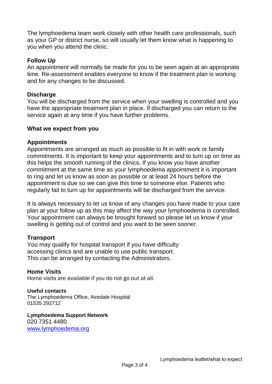The lymphoedema team work closely with other health care professionals, such as your GP or district nurse, so will usually let them know what is happening to you when you attend the clinic.

#### **Follow Up**

An appointment will normally be made for you to be seen again at an appropriate time. Re-assessment enables everyone to know if the treatment plan is working and for any changes to be discussed.

#### **Discharge**

You will be discharged from the service when your swelling is controlled and you have the appropriate treatment plan in place. If discharged you can return to the service again at any time if you have further problems.

#### **What we expect from you**

#### **Appointments**

Appointments are arranged as much as possible to fit in with work or family commitments. It is important to keep your appointments and to turn up on time as this helps the smooth running of the clinics. If you know you have another commitment at the same time as your lymphoedema appointment it is important to ring and let us know as soon as possible or at least 24 hours before the appointment is due so we can give this time to someone else. Patients who regularly fail to turn up for appointments will be discharged from the service.

It is always necessary to let us know of any changes you have made to your care plan at your follow up as this may affect the way your lymphoedema is controlled. Your appointment can always be brought forward so please let us know if your swelling is getting out of control and you want to be seen sooner.

#### **Transport**

You may qualify for hospital transport if you have difficulty accessing clinics and are unable to use public transport. This can be arranged by contacting the Administrators.

#### **Home Visits**

Home visits are available if you do not go out at all.

#### **Useful contacts**

The Lymphoedema Office, Airedale Hospital 01535 292712

**Lymphoedema Support Network** 020 7351 4480 [www.lymphoedema.org](http://www.lymphoedema.org/)